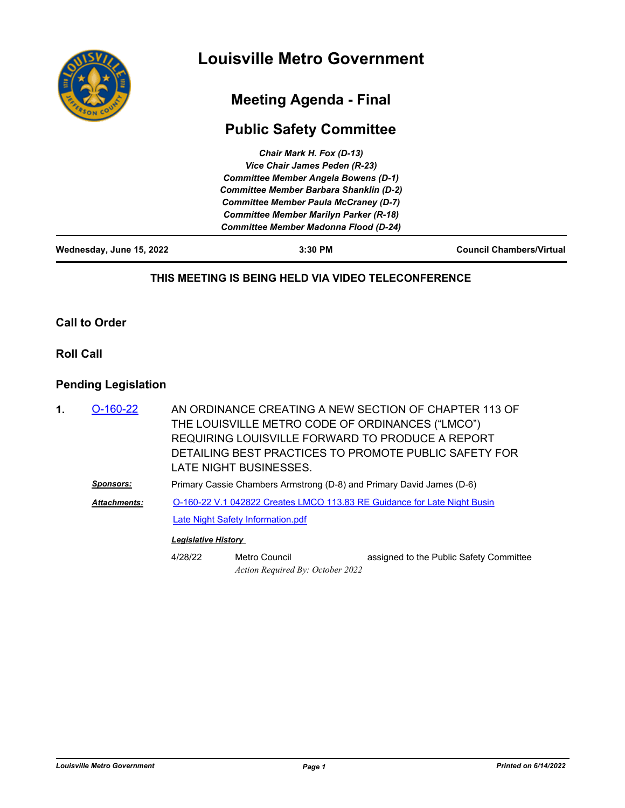

# **Meeting Agenda - Final**

# **Public Safety Committee**

| Wednesday, June 15, 2022 | $3:30$ PM                                      | <b>Council Chambers/Virtual</b> |
|--------------------------|------------------------------------------------|---------------------------------|
|                          | <b>Committee Member Madonna Flood (D-24)</b>   |                                 |
|                          | <b>Committee Member Marilyn Parker (R-18)</b>  |                                 |
|                          | <b>Committee Member Paula McCraney (D-7)</b>   |                                 |
|                          | <b>Committee Member Barbara Shanklin (D-2)</b> |                                 |
|                          | <b>Committee Member Angela Bowens (D-1)</b>    |                                 |
|                          | Vice Chair James Peden (R-23)                  |                                 |
|                          | Chair Mark H. Fox (D-13)                       |                                 |

#### **THIS MEETING IS BEING HELD VIA VIDEO TELECONFERENCE**

**Call to Order**

**Roll Call**

### **Pending Legislation**

| 1. | $O-160-22$          |                            | THE LOUISVILLE METRO CODE OF ORDINANCES ("LMCO")<br>REQUIRING LOUISVILLE FORWARD TO PRODUCE A REPORT<br>LATE NIGHT BUSINESSES. | AN ORDINANCE CREATING A NEW SECTION OF CHAPTER 113 OF<br>DETAILING BEST PRACTICES TO PROMOTE PUBLIC SAFETY FOR |  |
|----|---------------------|----------------------------|--------------------------------------------------------------------------------------------------------------------------------|----------------------------------------------------------------------------------------------------------------|--|
|    | Sponsors:           |                            | Primary Cassie Chambers Armstrong (D-8) and Primary David James (D-6)                                                          |                                                                                                                |  |
|    | <b>Attachments:</b> |                            | O-160-22 V.1 042822 Creates LMCO 113.83 RE Guidance for Late Night Busin                                                       |                                                                                                                |  |
|    |                     |                            | <b>Late Night Safety Information.pdf</b>                                                                                       |                                                                                                                |  |
|    |                     | <b>Legislative History</b> |                                                                                                                                |                                                                                                                |  |
|    |                     | 4/28/22                    | Metro Council<br>Action Required By: October 2022                                                                              | assigned to the Public Safety Committee                                                                        |  |